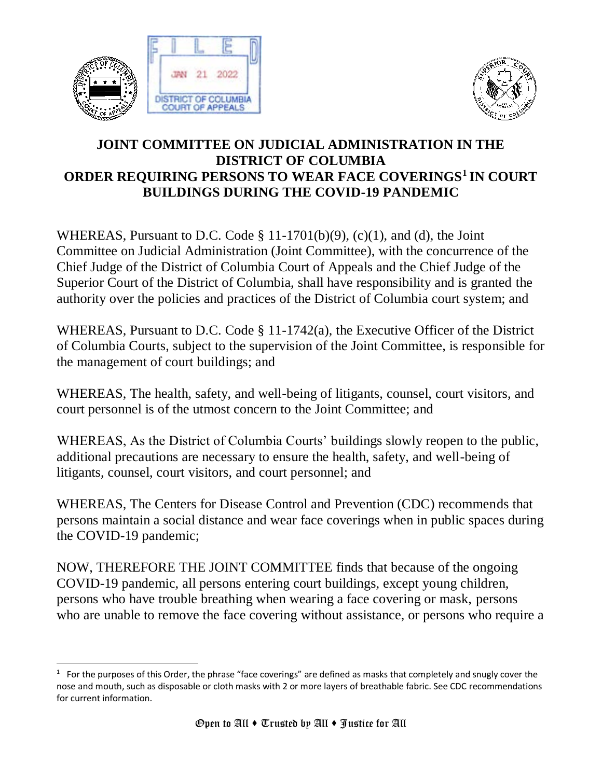



## **JOINT COMMITTEE ON JUDICIAL ADMINISTRATION IN THE DISTRICT OF COLUMBIA ORDER REQUIRING PERSONS TO WEAR FACE COVERINGS<sup>1</sup> IN COURT BUILDINGS DURING THE COVID-19 PANDEMIC**

WHEREAS, Pursuant to D.C. Code  $\S$  11-1701(b)(9), (c)(1), and (d), the Joint Committee on Judicial Administration (Joint Committee), with the concurrence of the Chief Judge of the District of Columbia Court of Appeals and the Chief Judge of the Superior Court of the District of Columbia, shall have responsibility and is granted the authority over the policies and practices of the District of Columbia court system; and

WHEREAS, Pursuant to D.C. Code § 11-1742(a), the Executive Officer of the District of Columbia Courts, subject to the supervision of the Joint Committee, is responsible for the management of court buildings; and

WHEREAS, The health, safety, and well-being of litigants, counsel, court visitors, and court personnel is of the utmost concern to the Joint Committee; and

WHEREAS, As the District of Columbia Courts' buildings slowly reopen to the public, additional precautions are necessary to ensure the health, safety, and well-being of litigants, counsel, court visitors, and court personnel; and

WHEREAS, The Centers for Disease Control and Prevention (CDC) recommends that persons maintain a social distance and wear face coverings when in public spaces during the COVID-19 pandemic;

NOW, THEREFORE THE JOINT COMMITTEE finds that because of the ongoing COVID-19 pandemic, all persons entering court buildings, except young children, persons who have trouble breathing when wearing a face covering or mask, persons who are unable to remove the face covering without assistance, or persons who require a

 $1$  For the purposes of this Order, the phrase "face coverings" are defined as masks that completely and snugly cover the nose and mouth, such as disposable or cloth masks with 2 or more layers of breathable fabric. See CDC recommendations for current information.